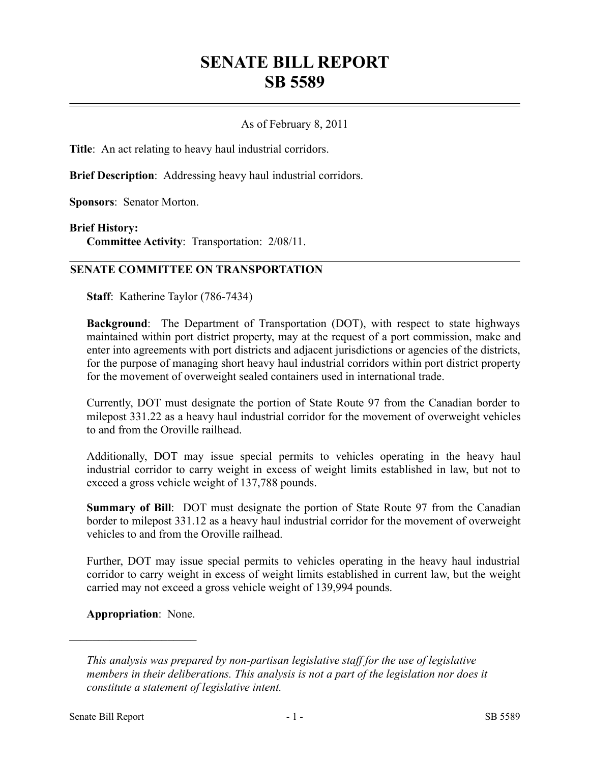# **SENATE BILL REPORT SB 5589**

# As of February 8, 2011

**Title**: An act relating to heavy haul industrial corridors.

**Brief Description**: Addressing heavy haul industrial corridors.

**Sponsors**: Senator Morton.

#### **Brief History:**

**Committee Activity**: Transportation: 2/08/11.

## **SENATE COMMITTEE ON TRANSPORTATION**

**Staff**: Katherine Taylor (786-7434)

**Background**: The Department of Transportation (DOT), with respect to state highways maintained within port district property, may at the request of a port commission, make and enter into agreements with port districts and adjacent jurisdictions or agencies of the districts, for the purpose of managing short heavy haul industrial corridors within port district property for the movement of overweight sealed containers used in international trade.

Currently, DOT must designate the portion of State Route 97 from the Canadian border to milepost 331.22 as a heavy haul industrial corridor for the movement of overweight vehicles to and from the Oroville railhead.

Additionally, DOT may issue special permits to vehicles operating in the heavy haul industrial corridor to carry weight in excess of weight limits established in law, but not to exceed a gross vehicle weight of 137,788 pounds.

**Summary of Bill**: DOT must designate the portion of State Route 97 from the Canadian border to milepost 331.12 as a heavy haul industrial corridor for the movement of overweight vehicles to and from the Oroville railhead.

Further, DOT may issue special permits to vehicles operating in the heavy haul industrial corridor to carry weight in excess of weight limits established in current law, but the weight carried may not exceed a gross vehicle weight of 139,994 pounds.

**Appropriation**: None.

––––––––––––––––––––––

*This analysis was prepared by non-partisan legislative staff for the use of legislative members in their deliberations. This analysis is not a part of the legislation nor does it constitute a statement of legislative intent.*